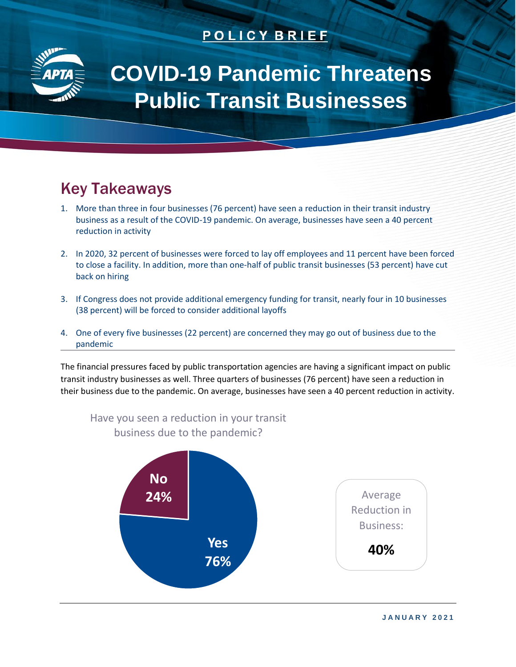## **POLICY BRIEF**



# **COVID-19 Pandemic Threatens Public Transit Businesses**

# Key Takeaways

- 1. More than three in four businesses (76 percent) have seen a reduction in their transit industry business as a result of the COVID-19 pandemic. On average, businesses have seen a 40 percent reduction in activity
- 2. In 2020, 32 percent of businesses were forced to lay off employees and 11 percent have been forced to close a facility. In addition, more than one-half of public transit businesses (53 percent) have cut back on hiring
- 3. If Congress does not provide additional emergency funding for transit, nearly four in 10 businesses (38 percent) will be forced to consider additional layoffs
- 4. One of every five businesses (22 percent) are concerned they may go out of business due to the pandemic

The financial pressures faced by public transportation agencies are having a significant impact on public transit industry businesses as well. Three quarters of businesses (76 percent) have seen a reduction in their business due to the pandemic. On average, businesses have seen a 40 percent reduction in activity.

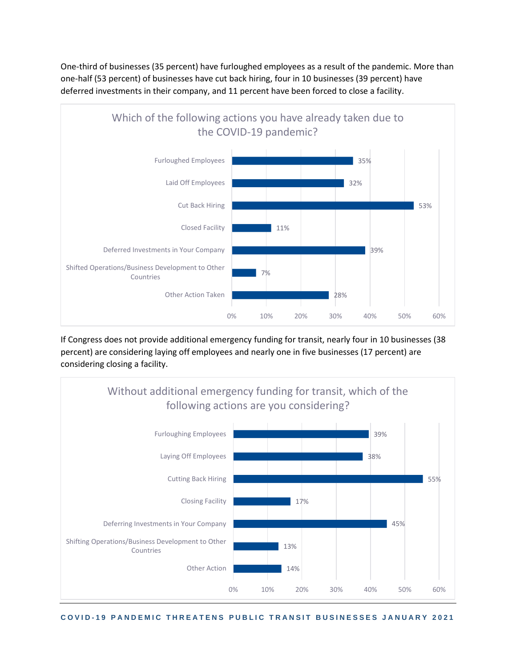One-third of businesses (35 percent) have furloughed employees as a result of the pandemic. More than one-half (53 percent) of businesses have cut back hiring, four in 10 businesses (39 percent) have deferred investments in their company, and 11 percent have been forced to close a facility.



If Congress does not provide additional emergency funding for transit, nearly four in 10 businesses (38 percent) are considering laying off employees and nearly one in five businesses (17 percent) are considering closing a facility.



**C O V I D - 1 9 P A N D E M I C T H R E A T E N S P U B L I C T R A N S I T B U S I N E S S E S J A N U A R Y 2 0 2 1**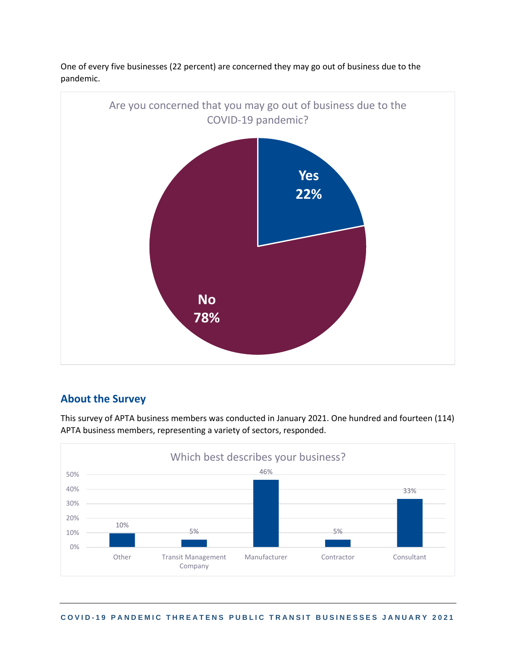

One of every five businesses (22 percent) are concerned they may go out of business due to the pandemic.

## **About the Survey**

This survey of APTA business members was conducted in January 2021. One hundred and fourteen (114) APTA business members, representing a variety of sectors, responded.